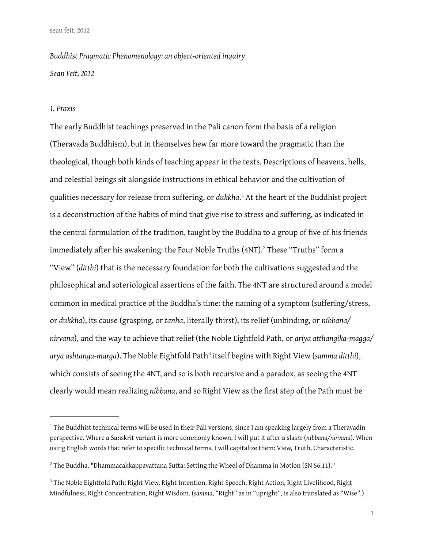*Buddhist Pragmatic Phenomenology: an object-oriented inquiry Sean Feit, 2012*

#### *1. Praxis*

The early Buddhist teachings preserved in the Pali canon form the basis of a religion (Theravada Buddhism), but in themselves hew far more toward the pragmatic than the theological, though both kinds of teaching appear in the texts. Descriptions of heavens, hells, and celestial beings sit alongside instructions in ethical behavior and the cultivation of qualities necessary for release from suffering, or *dukkha*.<sup>[1](#page-0-0)</sup> At the heart of the Buddhist project is a deconstruction of the habits of mind that give rise to stress and suffering, as indicated in the central formulation of the tradition, taught by the Buddha to a group of five of his friends immediately after his awakening: the Four Noble Truths (4NT). $^{2}$  $^{2}$  $^{2}$  These "Truths" form a "View" (*ditthi*) that is the necessary foundation for both the cultivations suggested and the philosophical and soteriological assertions of the faith. The 4NT are structured around a model common in medical practice of the Buddha's time: the naming of a symptom (suffering/stress, or *dukkha*), its cause (grasping, or *tanha*, literally thirst), its relief (unbinding, or *nibbana/ nirvana*), and the way to achieve that relief (the Noble Eightfold Path, or *ariya atthangika-magga/* arya ashtanga-marga). The Noble Eightfold Path<sup>[3](#page-0-2)</sup> itself begins with Right View (samma ditthi), which consists of seeing the 4NT, and so is both recursive and a paradox, as seeing the 4NT clearly would mean realizing *nibbana*, and so Right View as the first step of the Path must be

<span id="page-0-0"></span><sup>&</sup>lt;sup>1</sup> The Buddhist technical terms will be used in their Pali versions, since I am speaking largely from a Theravadin perspective. Where a Sanskrit variant is more commonly known, I will put it after a slash: (*nibbana/nirvana*). When using English words that refer to specific technical terms, I will capitalize them: View, Truth, Characteristic.

<span id="page-0-1"></span> $^{\rm 2}$  The Buddha. "Dhammacakkappavattana Sutta: Setting the Wheel of Dhamma in Motion (SN 56.11)."

<span id="page-0-2"></span><sup>&</sup>lt;sup>3</sup> The Noble Eightfold Path: Right View, Right Intention, Right Speech, Right Action, Right Livelihood, Right Mindfulness, Right Concentration, Right Wisdom. (*samma*, "Right" as in "upright", is also translated as "Wise".)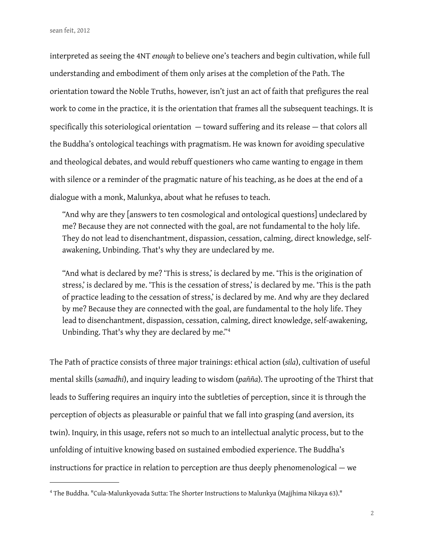interpreted as seeing the 4NT *enough* to believe one's teachers and begin cultivation, while full understanding and embodiment of them only arises at the completion of the Path. The orientation toward the Noble Truths, however, isn't just an act of faith that prefigures the real work to come in the practice, it is the orientation that frames all the subsequent teachings. It is specifically this soteriological orientation  $-$  toward suffering and its release  $-$  that colors all the Buddha's ontological teachings with pragmatism. He was known for avoiding speculative and theological debates, and would rebuff questioners who came wanting to engage in them with silence or a reminder of the pragmatic nature of his teaching, as he does at the end of a dialogue with a monk, Malunkya, about what he refuses to teach.

"And why are they [answers to ten cosmological and ontological questions] undeclared by me? Because they are not connected with the goal, are not fundamental to the holy life. They do not lead to disenchantment, dispassion, cessation, calming, direct knowledge, selfawakening, Unbinding. That's why they are undeclared by me.

"And what is declared by me? 'This is stress,' is declared by me. 'This is the origination of stress,' is declared by me. 'This is the cessation of stress,' is declared by me. 'This is the path of practice leading to the cessation of stress,' is declared by me. And why are they declared by me? Because they are connected with the goal, are fundamental to the holy life. They lead to disenchantment, dispassion, cessation, calming, direct knowledge, self-awakening, Unbinding. That's why they are declared by me."[4](#page-1-0)

The Path of practice consists of three major trainings: ethical action (*sila*), cultivation of useful mental skills (*samadhi*), and inquiry leading to wisdom (*pañña*). The uprooting of the Thirst that leads to Suffering requires an inquiry into the subtleties of perception, since it is through the perception of objects as pleasurable or painful that we fall into grasping (and aversion, its twin). Inquiry, in this usage, refers not so much to an intellectual analytic process, but to the unfolding of intuitive knowing based on sustained embodied experience. The Buddha's instructions for practice in relation to perception are thus deeply phenomenological — we

<span id="page-1-0"></span><sup>4</sup> The Buddha. "Cula-Malunkyovada Sutta: The Shorter Instructions to Malunkya (Majjhima Nikaya 63)."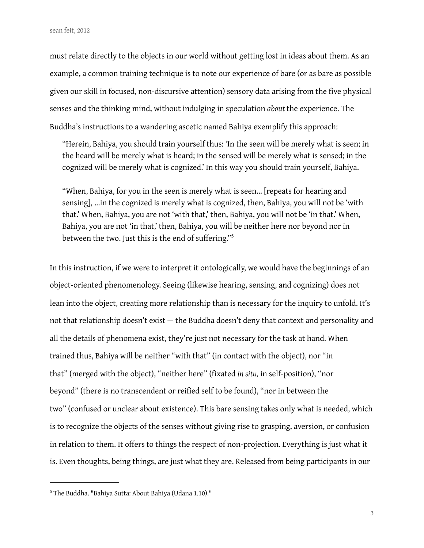must relate directly to the objects in our world without getting lost in ideas about them. As an example, a common training technique is to note our experience of bare (or as bare as possible given our skill in focused, non-discursive attention) sensory data arising from the five physical senses and the thinking mind, without indulging in speculation *about* the experience. The Buddha's instructions to a wandering ascetic named Bahiya exemplify this approach:

"Herein, Bahiya, you should train yourself thus: 'In the seen will be merely what is seen; in the heard will be merely what is heard; in the sensed will be merely what is sensed; in the cognized will be merely what is cognized.' In this way you should train yourself, Bahiya.

"When, Bahiya, for you in the seen is merely what is seen... [repeats for hearing and sensing], ...in the cognized is merely what is cognized, then, Bahiya, you will not be 'with that.' When, Bahiya, you are not 'with that,' then, Bahiya, you will not be 'in that.' When, Bahiya, you are not 'in that,' then, Bahiya, you will be neither here nor beyond nor in between the two. Just this is the end of suffering."<sup>[5](#page-2-0)</sup>

In this instruction, if we were to interpret it ontologically, we would have the beginnings of an object-oriented phenomenology. Seeing (likewise hearing, sensing, and cognizing) does not lean into the object, creating more relationship than is necessary for the inquiry to unfold. It's not that relationship doesn't exist — the Buddha doesn't deny that context and personality and all the details of phenomena exist, they're just not necessary for the task at hand. When trained thus, Bahiya will be neither "with that" (in contact with the object), nor "in that" (merged with the object), "neither here" (fixated *in situ*, in self-position), "nor beyond" (there is no transcendent or reified self to be found), "nor in between the two" (confused or unclear about existence). This bare sensing takes only what is needed, which is to recognize the objects of the senses without giving rise to grasping, aversion, or confusion in relation to them. It offers to things the respect of non-projection. Everything is just what it is. Even thoughts, being things, are just what they are. Released from being participants in our

<span id="page-2-0"></span><sup>5</sup> The Buddha. "Bahiya Sutta: About Bahiya (Udana 1.10)."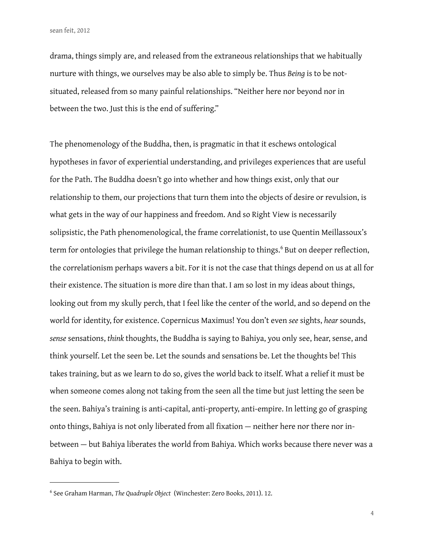drama, things simply are, and released from the extraneous relationships that we habitually nurture with things, we ourselves may be also able to simply be. Thus *Being* is to be notsituated, released from so many painful relationships. "Neither here nor beyond nor in between the two. Just this is the end of suffering."

The phenomenology of the Buddha, then, is pragmatic in that it eschews ontological hypotheses in favor of experiential understanding, and privileges experiences that are useful for the Path. The Buddha doesn't go into whether and how things exist, only that our relationship to them, our projections that turn them into the objects of desire or revulsion, is what gets in the way of our happiness and freedom. And so Right View is necessarily solipsistic, the Path phenomenological, the frame correlationist, to use Quentin Meillassoux's term for ontologies that privilege the human relationship to things.<sup>[6](#page-3-0)</sup> But on deeper reflection, the correlationism perhaps wavers a bit. For it is not the case that things depend on us at all for their existence. The situation is more dire than that. I am so lost in my ideas about things, looking out from my skully perch, that I feel like the center of the world, and so depend on the world for identity, for existence. Copernicus Maximus! You don't even *see* sights, *hear* sounds, *sense* sensations, *think* thoughts, the Buddha is saying to Bahiya, you only see, hear, sense, and think yourself. Let the seen be. Let the sounds and sensations be. Let the thoughts be! This takes training, but as we learn to do so, gives the world back to itself. What a relief it must be when someone comes along not taking from the seen all the time but just letting the seen be the seen. Bahiya's training is anti-capital, anti-property, anti-empire. In letting go of grasping onto things, Bahiya is not only liberated from all fixation — neither here nor there nor inbetween — but Bahiya liberates the world from Bahiya. Which works because there never was a Bahiya to begin with.

<span id="page-3-0"></span><sup>6</sup> See Graham Harman, *The Quadruple Object* (Winchester: Zero Books, 2011). 12.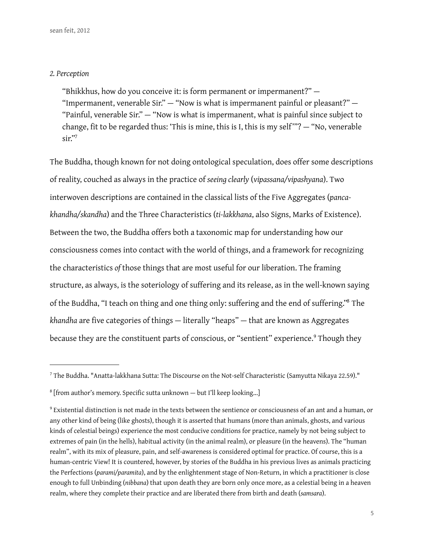## *2. Perception*

"Bhikkhus, how do you conceive it: is form permanent or impermanent?" — "Impermanent, venerable Sir." — "Now is what is impermanent painful or pleasant?" — "Painful, venerable Sir." — "Now is what is impermanent, what is painful since subject to change, fit to be regarded thus: 'This is mine, this is I, this is my self'"?  $-$  "No, venerable sir.["7](#page-4-0)

The Buddha, though known for not doing ontological speculation, does offer some descriptions of reality, couched as always in the practice of *seeing clearly* (*vipassana/vipashyana*). Two interwoven descriptions are contained in the classical lists of the Five Aggregates (*pancakhandha/skandha*) and the Three Characteristics (*ti-lakkhana*, also Signs, Marks of Existence). Between the two, the Buddha offers both a taxonomic map for understanding how our consciousness comes into contact with the world of things, and a framework for recognizing the characteristics *of* those things that are most useful for our liberation. The framing structure, as always, is the soteriology of suffering and its release, as in the well-known saying of the Buddha, "I teach on thing and one thing only: suffering and the end of suffering."<sup>8</sup> The *khandha* are five categories of things - literally "heaps" - that are known as Aggregates because they are the constituent parts of conscious, or "sentient" experience.<sup>[9](#page-4-2)</sup> Though they

<span id="page-4-0"></span> $^7$  The Buddha. "Anatta-lakkhana Sutta: The Discourse on the Not-self Characteristic (Samyutta Nikaya 22.59)."

<span id="page-4-1"></span><sup>&</sup>lt;sup>8</sup> [from author's memory. Specific sutta unknown – but I'll keep looking...]

<span id="page-4-2"></span><sup>9</sup> Existential distinction is not made in the texts between the sentience or consciousness of an ant and a human, or any other kind of being (like ghosts), though it is asserted that humans (more than animals, ghosts, and various kinds of celestial beings) experience the most conducive conditions for practice, namely by not being subject to extremes of pain (in the hells), habitual activity (in the animal realm), or pleasure (in the heavens). The "human realm", with its mix of pleasure, pain, and self-awareness is considered optimal for practice. Of course, this is a human-centric View! It is countered, however, by stories of the Buddha in his previous lives as animals practicing the Perfections (*parami/paramita*), and by the enlightenment stage of Non-Return, in which a practitioner is close enough to full Unbinding (*nibbana*) that upon death they are born only once more, as a celestial being in a heaven realm, where they complete their practice and are liberated there from birth and death (*samsara*).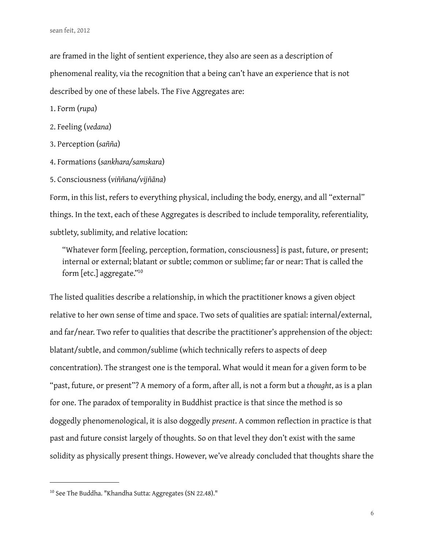are framed in the light of sentient experience, they also are seen as a description of phenomenal reality, via the recognition that a being can't have an experience that is not described by one of these labels. The Five Aggregates are:

1. Form (*rupa*)

- 2. Feeling (*vedana*)
- 3. Perception (*sañña*)
- 4. Formations (*sankhara/samskara*)
- 5. Consciousness (*viññana/vijñāna*)

Form, in this list, refers to everything physical, including the body, energy, and all "external" things. In the text, each of these Aggregates is described to include temporality, referentiality, subtlety, sublimity, and relative location:

"Whatever form [feeling, perception, formation, consciousness] is past, future, or present; internal or external; blatant or subtle; common or sublime; far or near: That is called the form [etc.] aggregate.["10](#page-5-0)

The listed qualities describe a relationship, in which the practitioner knows a given object relative to her own sense of time and space. Two sets of qualities are spatial: internal/external, and far/near. Two refer to qualities that describe the practitioner's apprehension of the object: blatant/subtle, and common/sublime (which technically refers to aspects of deep concentration). The strangest one is the temporal. What would it mean for a given form to be "past, future, or present"? A memory of a form, after all, is not a form but a *thought*, as is a plan for one. The paradox of temporality in Buddhist practice is that since the method is so doggedly phenomenological, it is also doggedly *present*. A common reflection in practice is that past and future consist largely of thoughts. So on that level they don't exist with the same solidity as physically present things. However, we've already concluded that thoughts share the

<span id="page-5-0"></span><sup>&</sup>lt;sup>10</sup> See The Buddha. "Khandha Sutta: Aggregates (SN 22.48)."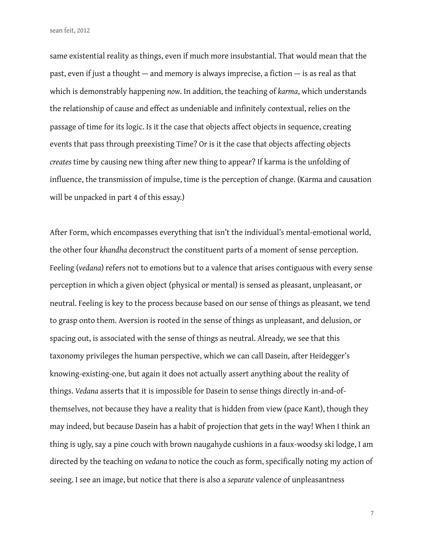same existential reality as things, even if much more insubstantial. That would mean that the past, even if just a thought  $-$  and memory is always imprecise, a fiction  $-$  is as real as that which is demonstrably happening *now*. In addition, the teaching of *karma*, which understands the relationship of cause and effect as undeniable and infinitely contextual, relies on the passage of time for its logic. Is it the case that objects affect objects in sequence, creating events that pass through preexisting Time? Or is it the case that objects affecting objects *creates* time by causing new thing after new thing to appear? If karma is the unfolding of influence, the transmission of impulse, time is the perception of change. (Karma and causation will be unpacked in part 4 of this essay.)

After Form, which encompasses everything that isn't the individual's mental-emotional world, the other four *khandha* deconstruct the constituent parts of a moment of sense perception. Feeling (*vedana*) refers not to emotions but to a valence that arises contiguous with every sense perception in which a given object (physical or mental) is sensed as pleasant, unpleasant, or neutral. Feeling is key to the process because based on our sense of things as pleasant, we tend to grasp onto them. Aversion is rooted in the sense of things as unpleasant, and delusion, or spacing out, is associated with the sense of things as neutral. Already, we see that this taxonomy privileges the human perspective, which we can call Dasein, after Heidegger's knowing-existing-one, but again it does not actually assert anything about the reality of things. *Vedana* asserts that it is impossible for Dasein to sense things directly in-and-ofthemselves, not because they have a reality that is hidden from view (pace Kant), though they may indeed, but because Dasein has a habit of projection that gets in the way! When I think an thing is ugly, say a pine couch with brown naugahyde cushions in a faux-woodsy ski lodge, I am directed by the teaching on *vedana* to notice the couch as form, specifically noting my action of seeing. I see an image, but notice that there is also a *separate* valence of unpleasantness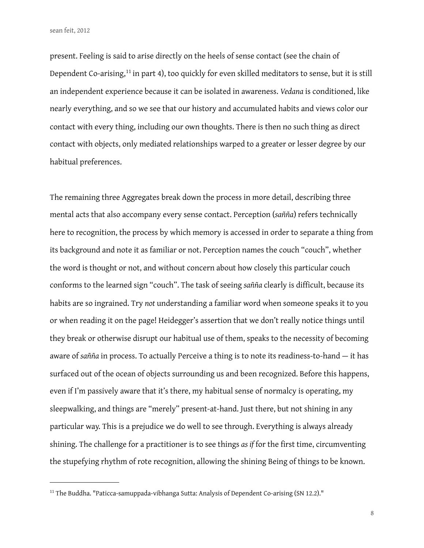present. Feeling is said to arise directly on the heels of sense contact (see the chain of Dependent Co-arising,<sup>11</sup> in part 4), too quickly for even skilled meditators to sense, but it is still an independent experience because it can be isolated in awareness. *Vedana* is conditioned, like nearly everything, and so we see that our history and accumulated habits and views color our contact with every thing, including our own thoughts. There is then no such thing as direct contact with objects, only mediated relationships warped to a greater or lesser degree by our habitual preferences.

The remaining three Aggregates break down the process in more detail, describing three mental acts that also accompany every sense contact. Perception (*sañña*) refers technically here to recognition, the process by which memory is accessed in order to separate a thing from its background and note it as familiar or not. Perception names the couch "couch", whether the word is thought or not, and without concern about how closely this particular couch conforms to the learned sign "couch". The task of seeing *sañña* clearly is difficult, because its habits are so ingrained. Try *not* understanding a familiar word when someone speaks it to you or when reading it on the page! Heidegger's assertion that we don't really notice things until they break or otherwise disrupt our habitual use of them, speaks to the necessity of becoming aware of *sañña* in process. To actually Perceive a thing is to note its readiness-to-hand — it has surfaced out of the ocean of objects surrounding us and been recognized. Before this happens, even if I'm passively aware that it's there, my habitual sense of normalcy is operating, my sleepwalking, and things are "merely" present-at-hand. Just there, but not shining in any particular way. This is a prejudice we do well to see through. Everything is always already shining. The challenge for a practitioner is to see things *as if* for the first time, circumventing the stupefying rhythm of rote recognition, allowing the shining Being of things to be known.

<span id="page-7-0"></span><sup>&</sup>lt;sup>11</sup> The Buddha. "Paticca-samuppada-vibhanga Sutta: Analysis of Dependent Co-arising (SN 12.2)."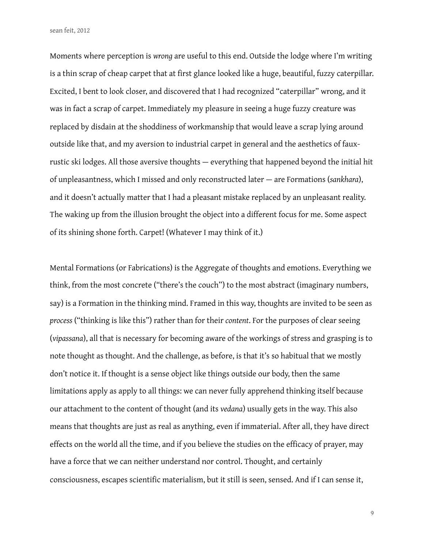Moments where perception is *wrong* are useful to this end. Outside the lodge where I'm writing is a thin scrap of cheap carpet that at first glance looked like a huge, beautiful, fuzzy caterpillar. Excited, I bent to look closer, and discovered that I had recognized "caterpillar" wrong, and it was in fact a scrap of carpet. Immediately my pleasure in seeing a huge fuzzy creature was replaced by disdain at the shoddiness of workmanship that would leave a scrap lying around outside like that, and my aversion to industrial carpet in general and the aesthetics of fauxrustic ski lodges. All those aversive thoughts — everything that happened beyond the initial hit of unpleasantness, which I missed and only reconstructed later — are Formations (*sankhara*), and it doesn't actually matter that I had a pleasant mistake replaced by an unpleasant reality. The waking up from the illusion brought the object into a different focus for me. Some aspect of its shining shone forth. Carpet! (Whatever I may think of it.)

Mental Formations (or Fabrications) is the Aggregate of thoughts and emotions. Everything we think, from the most concrete ("there's the couch") to the most abstract (imaginary numbers, say) is a Formation in the thinking mind. Framed in this way, thoughts are invited to be seen as *process* ("thinking is like this") rather than for their *content*. For the purposes of clear seeing (*vipassana*), all that is necessary for becoming aware of the workings of stress and grasping is to note thought as thought. And the challenge, as before, is that it's so habitual that we mostly don't notice it. If thought is a sense object like things outside our body, then the same limitations apply as apply to all things: we can never fully apprehend thinking itself because our attachment to the content of thought (and its *vedana*) usually gets in the way. This also means that thoughts are just as real as anything, even if immaterial. After all, they have direct effects on the world all the time, and if you believe the studies on the efficacy of prayer, may have a force that we can neither understand nor control. Thought, and certainly consciousness, escapes scientific materialism, but it still is seen, sensed. And if I can sense it,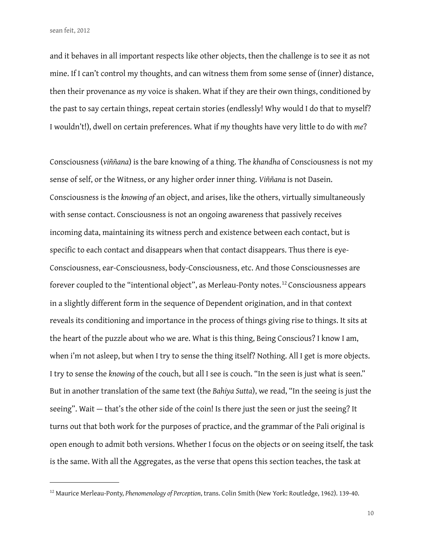and it behaves in all important respects like other objects, then the challenge is to see it as not mine. If I can't control my thoughts, and can witness them from some sense of (inner) distance, then their provenance as *my* voice is shaken. What if they are their own things, conditioned by the past to say certain things, repeat certain stories (endlessly! Why would I do that to myself? I wouldn't!), dwell on certain preferences. What if *my* thoughts have very little to do with *me*?

Consciousness (*viññana*) is the bare knowing of a thing. The *khandha* of Consciousness is not my sense of self, or the Witness, or any higher order inner thing. *Viññana* is not Dasein. Consciousness is the *knowing of* an object, and arises, like the others, virtually simultaneously with sense contact. Consciousness is not an ongoing awareness that passively receives incoming data, maintaining its witness perch and existence between each contact, but is specific to each contact and disappears when that contact disappears. Thus there is eye-Consciousness, ear-Consciousness, body-Consciousness, etc. And those Consciousnesses are forever coupled to the "intentional object", as Merleau-Ponty notes.<sup>12</sup> Consciousness appears in a slightly different form in the sequence of Dependent origination, and in that context reveals its conditioning and importance in the process of things giving rise to things. It sits at the heart of the puzzle about who we are. What is this thing, Being Conscious? I know I am, when i'm not asleep, but when I try to sense the thing itself? Nothing. All I get is more objects. I try to sense the *knowing* of the couch, but all I see is couch. "In the seen is just what is seen." But in another translation of the same text (the *Bahiya Sutta*), we read, "In the seeing is just the seeing". Wait — that's the other side of the coin! Is there just the seen or just the seeing? It turns out that both work for the purposes of practice, and the grammar of the Pali original is open enough to admit both versions. Whether I focus on the objects or on seeing itself, the task is the same. With all the Aggregates, as the verse that opens this section teaches, the task at

<span id="page-9-0"></span><sup>12</sup> Maurice Merleau-Ponty, *Phenomenology of Perception*, trans. Colin Smith (New York: Routledge, 1962). 139-40.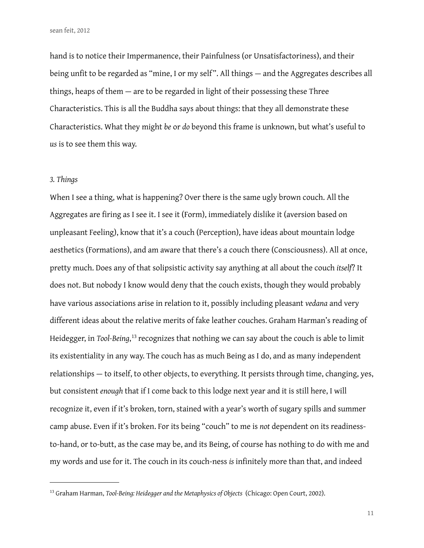hand is to notice their Impermanence, their Painfulness (or Unsatisfactoriness), and their being unfit to be regarded as "mine, I or my self". All things — and the Aggregates describes all things, heaps of them — are to be regarded in light of their possessing these Three Characteristics. This is all the Buddha says about things: that they all demonstrate these Characteristics. What they might *be* or *do* beyond this frame is unknown, but what's useful to *us* is to see them this way.

## *3. Things*

When I see a thing, what is happening? Over there is the same ugly brown couch. All the Aggregates are firing as I see it. I see it (Form), immediately dislike it (aversion based on unpleasant Feeling), know that it's a couch (Perception), have ideas about mountain lodge aesthetics (Formations), and am aware that there's a couch there (Consciousness). All at once, pretty much. Does any of that solipsistic activity say anything at all about the couch *itself*? It does not. But nobody I know would deny that the couch exists, though they would probably have various associations arise in relation to it, possibly including pleasant *vedana* and very different ideas about the relative merits of fake leather couches. Graham Harman's reading of Heidegger, in *Tool-Being*, [13](#page-10-0) recognizes that nothing we can say about the couch is able to limit its existentiality in any way. The couch has as much Being as I do, and as many independent relationships — to itself, to other objects, to everything. It persists through time, changing, yes, but consistent *enough* that if I come back to this lodge next year and it is still here, I will recognize it, even if it's broken, torn, stained with a year's worth of sugary spills and summer camp abuse. Even if it's broken. For its being "couch" to me is *not* dependent on its readinessto-hand, or to-butt, as the case may be, and its Being, of course has nothing to do with me and my words and use for it. The couch in its couch-ness *is* infinitely more than that, and indeed

<span id="page-10-0"></span><sup>13</sup> Graham Harman, *Tool-Being: Heidegger and the Metaphysics of Objects* (Chicago: Open Court, 2002).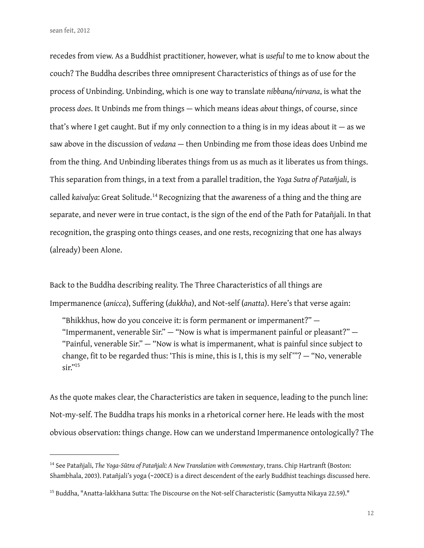recedes from view. As a Buddhist practitioner, however, what is *useful* to me to know about the couch? The Buddha describes three omnipresent Characteristics of things as of use for the process of Unbinding. Unbinding, which is one way to translate *nibbana/nirvana*, is what the process *does*. It Unbinds me from things — which means ideas *about* things, of course, since that's where I get caught. But if my only connection to a thing is in my ideas about it  $-$  as we saw above in the discussion of *vedana* — then Unbinding me from those ideas does Unbind me from the thing. And Unbinding liberates things from us as much as it liberates us from things. This separation from things, in a text from a parallel tradition, the *Yoga Sutra of Patañjali*, is called *kaivalya*: Great Solitude.<sup>[14](#page-11-0)</sup> Recognizing that the awareness of a thing and the thing are separate, and never were in true contact, is the sign of the end of the Path for Patañjali. In that recognition, the grasping onto things ceases, and one rests, recognizing that one has always (already) been Alone.

Back to the Buddha describing reality. The Three Characteristics of all things are Impermanence (*anicca*), Suffering (*dukkha*), and Not-self (*anatta*). Here's that verse again:

"Bhikkhus, how do you conceive it: is form permanent or impermanent?" — "Impermanent, venerable Sir." — "Now is what is impermanent painful or pleasant?" — "Painful, venerable Sir." — "Now is what is impermanent, what is painful since subject to change, fit to be regarded thus: 'This is mine, this is I, this is my self""? - "No, venerable  $\sin^{15}$ 

As the quote makes clear, the Characteristics are taken in sequence, leading to the punch line: Not-my-self. The Buddha traps his monks in a rhetorical corner here. He leads with the most obvious observation: things change. How can we understand Impermanence ontologically? The

<span id="page-11-0"></span><sup>14</sup> See Patañjali, *The Yoga-Sūtra of Patañjali: A New Translation with Commentary*, trans. Chip Hartranft (Boston: Shambhala, 2003). Patañjali's yoga (~200CE) is a direct descendent of the early Buddhist teachings discussed here.

<span id="page-11-1"></span><sup>&</sup>lt;sup>15</sup> Buddha, "Anatta-lakkhana Sutta: The Discourse on the Not-self Characteristic (Samyutta Nikaya 22.59)."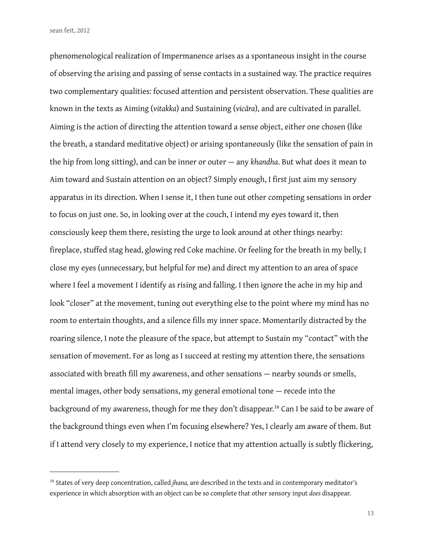phenomenological realization of Impermanence arises as a spontaneous insight in the course of observing the arising and passing of sense contacts in a sustained way. The practice requires two complementary qualities: focused attention and persistent observation. These qualities are known in the texts as Aiming (*vitakka*) and Sustaining (*vicāra*), and are cultivated in parallel. Aiming is the action of directing the attention toward a sense object, either one chosen (like the breath, a standard meditative object) or arising spontaneously (like the sensation of pain in the hip from long sitting), and can be inner or outer — any *khandha*. But what does it mean to Aim toward and Sustain attention on an object? Simply enough, I first just aim my sensory apparatus in its direction. When I sense it, I then tune out other competing sensations in order to focus on just one. So, in looking over at the couch, I intend my eyes toward it, then consciously keep them there, resisting the urge to look around at other things nearby: fireplace, stuffed stag head, glowing red Coke machine. Or feeling for the breath in my belly, I close my eyes (unnecessary, but helpful for me) and direct my attention to an area of space where I feel a movement I identify as rising and falling. I then ignore the ache in my hip and look "closer" at the movement, tuning out everything else to the point where my mind has no room to entertain thoughts, and a silence fills my inner space. Momentarily distracted by the roaring silence, I note the pleasure of the space, but attempt to Sustain my "contact" with the sensation of movement. For as long as I succeed at resting my attention there, the sensations associated with breath fill my awareness, and other sensations - nearby sounds or smells, mental images, other body sensations, my general emotional tone — recede into the background of my awareness, though for me they don't disappear.<sup>16</sup> Can I be said to be aware of the background things even when I'm focusing elsewhere? Yes, I clearly am aware of them. But if I attend very closely to my experience, I notice that my attention actually is subtly flickering,

<span id="page-12-0"></span><sup>16</sup> States of very deep concentration, called *jhana,* are described in the texts and in contemporary meditator's experience in which absorption with an object can be so complete that other sensory input *does* disappear.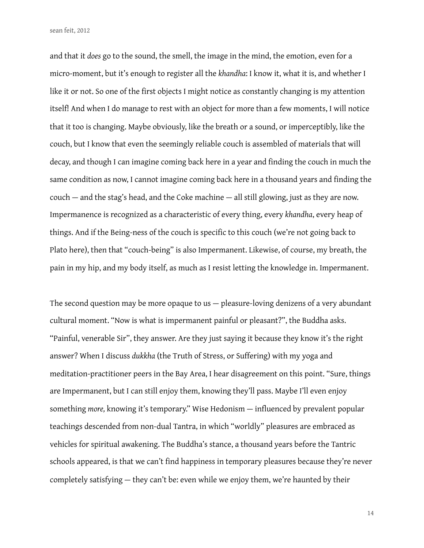and that it *does* go to the sound, the smell, the image in the mind, the emotion, even for a micro-moment, but it's enough to register all the *khandha*: I know it, what it is, and whether I like it or not. So one of the first objects I might notice as constantly changing is my attention itself! And when I do manage to rest with an object for more than a few moments, I will notice that it too is changing. Maybe obviously, like the breath or a sound, or imperceptibly, like the couch, but I know that even the seemingly reliable couch is assembled of materials that will decay, and though I can imagine coming back here in a year and finding the couch in much the same condition as now, I cannot imagine coming back here in a thousand years and finding the couch — and the stag's head, and the Coke machine — all still glowing, just as they are now. Impermanence is recognized as a characteristic of every thing, every *khandha*, every heap of things. And if the Being-ness of the couch is specific to this couch (we're not going back to Plato here), then that "couch-being" is also Impermanent. Likewise, of course, my breath, the pain in my hip, and my body itself, as much as I resist letting the knowledge in. Impermanent.

The second question may be more opaque to us — pleasure-loving denizens of a very abundant cultural moment. "Now is what is impermanent painful or pleasant?", the Buddha asks. "Painful, venerable Sir", they answer. Are they just saying it because they know it's the right answer? When I discuss *dukkha* (the Truth of Stress, or Suffering) with my yoga and meditation-practitioner peers in the Bay Area, I hear disagreement on this point. "Sure, things are Impermanent, but I can still enjoy them, knowing they'll pass. Maybe I'll even enjoy something *more*, knowing it's temporary." Wise Hedonism — influenced by prevalent popular teachings descended from non-dual Tantra, in which "worldly" pleasures are embraced as vehicles for spiritual awakening. The Buddha's stance, a thousand years before the Tantric schools appeared, is that we can't find happiness in temporary pleasures because they're never completely satisfying — they can't be: even while we enjoy them, we're haunted by their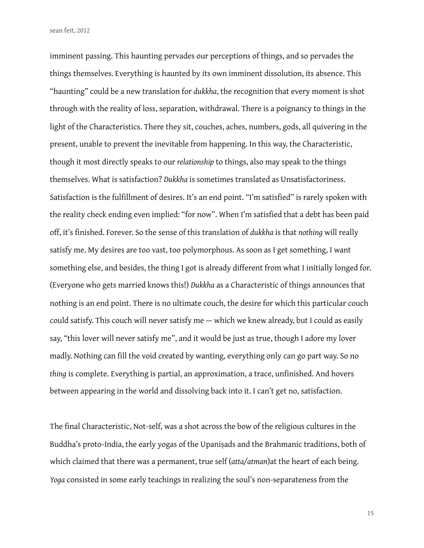imminent passing. This haunting pervades our perceptions of things, and so pervades the things themselves. Everything is haunted by its own imminent dissolution, its absence. This "haunting" could be a new translation for *dukkha*, the recognition that every moment is shot through with the reality of loss, separation, withdrawal. There is a poignancy to things in the light of the Characteristics. There they sit, couches, aches, numbers, gods, all quivering in the present, unable to prevent the inevitable from happening. In this way, the Characteristic, though it most directly speaks to our *relationship* to things, also may speak to the things themselves. What is satisfaction? *Dukkha* is sometimes translated as Unsatisfactoriness. Satisfaction is the fulfillment of desires. It's an end point. "I'm satisfied" is rarely spoken with the reality check ending even implied: "for now". When I'm satisfied that a debt has been paid off, it's finished. Forever. So the sense of this translation of *dukkha* is that *nothing* will really satisfy me. My desires are too vast, too polymorphous. As soon as I get something, I want something else, and besides, the thing I got is already different from what I initially longed for. (Everyone who gets married knows this!) *Dukkha* as a Characteristic of things announces that nothing is an end point. There is no ultimate couch, the desire for which this particular couch could satisfy. This couch will never satisfy me — which we knew already, but I could as easily say, "this lover will never satisfy me", and it would be just as true, though I adore my lover madly. Nothing can fill the void created by wanting, everything only can go part way. So no *thing* is complete. Everything is partial, an approximation, a trace, unfinished. And hovers between appearing in the world and dissolving back into it. I can't get no, satisfaction.

The final Characteristic, Not-self, was a shot across the bow of the religious cultures in the Buddha's proto-India, the early yogas of the Upaniṣads and the Brahmanic traditions, both of which claimed that there was a permanent, true self (*atta/atman*)at the heart of each being. *Yoga* consisted in some early teachings in realizing the soul's non-separateness from the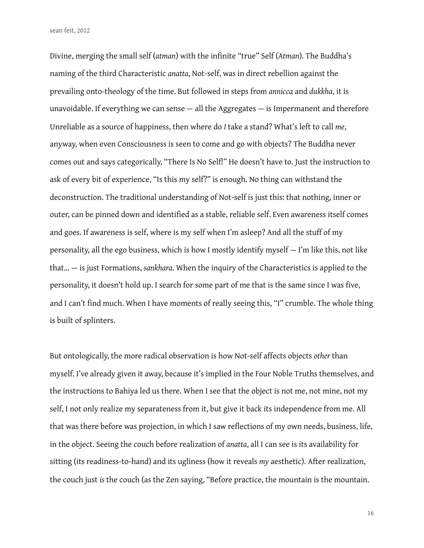Divine, merging the small self (atman) with the infinite "true" Self (Atman). The Buddha's naming of the third Characteristic *anatta*, Not-self, was in direct rebellion against the prevailing onto-theology of the time. But followed in steps from *annicca* and *dukkha*, it is unavoidable. If everything we can sense — all the Aggregates — is Impermanent and therefore Unreliable as a source of happiness, then where do *I* take a stand? What's left to call *me*, anyway, when even Consciousness is seen to come and go with objects? The Buddha never comes out and says categorically, "There Is No Self!" He doesn't have to. Just the instruction to ask of every bit of experience, "Is this my self?" is enough. No thing can withstand the deconstruction. The traditional understanding of Not-self is just this: that nothing, inner or outer, can be pinned down and identified as a stable, reliable self. Even awareness itself comes and goes. If awareness is self, where is my self when I'm asleep? And all the stuff of my personality, all the ego business, which is how I mostly identify myself — I'm like this, not like that… — is just Formations, *sankhara*. When the inquiry of the Characteristics is applied to the personality, it doesn't hold up. I search for some part of me that is the same since I was five, and I can't find much. When I have moments of really seeing this, "I" crumble. The whole thing is built of splinters.

But ontologically, the more radical observation is how Not-self affects objects *other* than myself. I've already given it away, because it's implied in the Four Noble Truths themselves, and the instructions to Bahiya led us there. When I see that the object is not me, not mine, not my self, I not only realize my separateness from it, but give it back its independence from me. All that was there before was projection, in which I saw reflections of my own needs, business, life, in the object. Seeing the couch before realization of *anatta*, all I can see is its availability for sitting (its readiness-to-hand) and its ugliness (how it reveals *my* aesthetic). After realization, the couch just *is* the couch (as the Zen saying, "Before practice, the mountain is the mountain.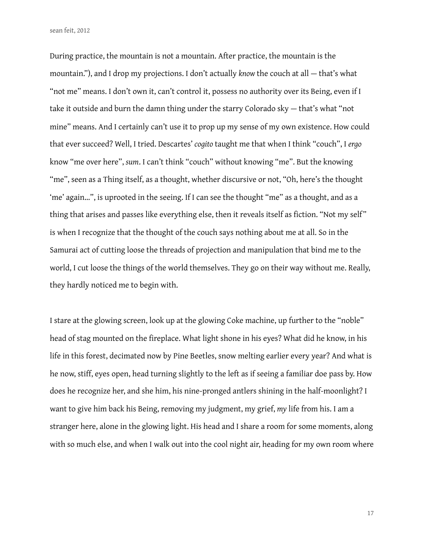During practice, the mountain is not a mountain. After practice, the mountain is the mountain."), and I drop my projections. I don't actually *know* the couch at all — that's what "not me" means. I don't own it, can't control it, possess no authority over its Being, even if I take it outside and burn the damn thing under the starry Colorado sky — that's what "not mine" means. And I certainly can't use it to prop up my sense of my own existence. How could that ever succeed? Well, I tried. Descartes' *cogito* taught me that when I think "couch", I *ergo* know "me over here", *sum*. I can't think "couch" without knowing "me". But the knowing "me", seen as a Thing itself, as a thought, whether discursive or not, "Oh, here's the thought 'me' again…", is uprooted in the seeing. If I can see the thought "me" as a thought, and as a thing that arises and passes like everything else, then it reveals itself as fiction. "Not my self" is when I recognize that the thought of the couch says nothing about me at all. So in the Samurai act of cutting loose the threads of projection and manipulation that bind me to the world, I cut loose the things of the world themselves. They go on their way without me. Really, they hardly noticed me to begin with.

I stare at the glowing screen, look up at the glowing Coke machine, up further to the "noble" head of stag mounted on the fireplace. What light shone in his eyes? What did he know, in his life in this forest, decimated now by Pine Beetles, snow melting earlier every year? And what is he now, stiff, eyes open, head turning slightly to the left as if seeing a familiar doe pass by. How does he recognize her, and she him, his nine-pronged antlers shining in the half-moonlight? I want to give him back his Being, removing my judgment, my grief, *my* life from his. I am a stranger here, alone in the glowing light. His head and I share a room for some moments, along with so much else, and when I walk out into the cool night air, heading for my own room where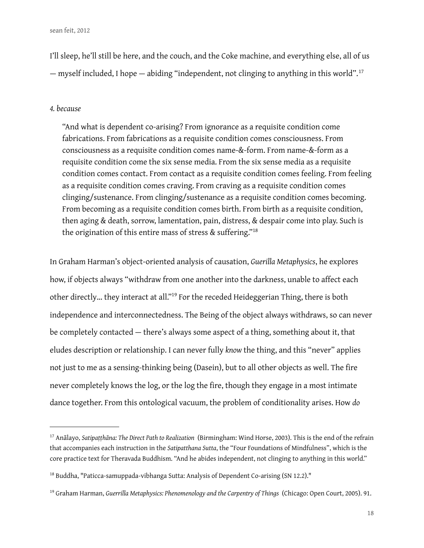I'll sleep, he'll still be here, and the couch, and the Coke machine, and everything else, all of us — myself included, I hope — abiding "independent, not clinging to anything in this world".[17](#page-17-0)

#### *4. because*

"And what is dependent co-arising? From ignorance as a requisite condition come fabrications. From fabrications as a requisite condition comes consciousness. From consciousness as a requisite condition comes name-&-form. From name-&-form as a requisite condition come the six sense media. From the six sense media as a requisite condition comes contact. From contact as a requisite condition comes feeling. From feeling as a requisite condition comes craving. From craving as a requisite condition comes clinging/sustenance. From clinging/sustenance as a requisite condition comes becoming. From becoming as a requisite condition comes birth. From birth as a requisite condition, then aging & death, sorrow, lamentation, pain, distress, & despair come into play. Such is the origination of this entire mass of stress  $\&$  suffering."<sup>[18](#page-17-1)</sup>

In Graham Harman's object-oriented analysis of causation, *Guerilla Metaphysics*, he explores how, if objects always "withdraw from one another into the darkness, unable to affect each other directly… they interact at all.["19](#page-17-2) For the receded Heideggerian Thing, there is both independence and interconnectedness. The Being of the object always withdraws, so can never be completely contacted — there's always some aspect of a thing, something about it, that eludes description or relationship. I can never fully *know* the thing, and this "never" applies not just to me as a sensing-thinking being (Dasein), but to all other objects as well. The fire never completely knows the log, or the log the fire, though they engage in a most intimate dance together. From this ontological vacuum, the problem of conditionality arises. How *do* 

<span id="page-17-0"></span><sup>17</sup> Anālayo, *Satipaṭṭhāna: The Direct Path to Realization* (Birmingham: Wind Horse, 2003). This is the end of the refrain that accompanies each instruction in the *Satipatthana Sutta*, the "Four Foundations of Mindfulness", which is the core practice text for Theravada Buddhism. "And he abides independent, not clinging to anything in this world."

<span id="page-17-1"></span><sup>&</sup>lt;sup>18</sup> Buddha, "Paticca-samuppada-vibhanga Sutta: Analysis of Dependent Co-arising (SN 12.2)."

<span id="page-17-2"></span><sup>19</sup> Graham Harman, *Guerrilla Metaphysics: Phenomenology and the Carpentry of Things* (Chicago: Open Court, 2005). 91.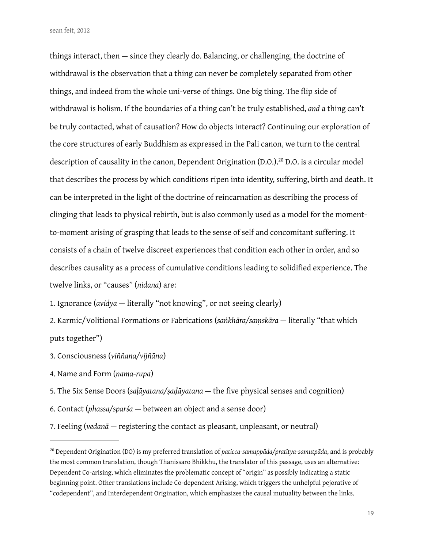things interact, then — since they clearly do. Balancing, or challenging, the doctrine of withdrawal is the observation that a thing can never be completely separated from other things, and indeed from the whole uni-verse of things. One big thing. The flip side of withdrawal is holism. If the boundaries of a thing can't be truly established, *and* a thing can't be truly contacted, what of causation? How do objects interact? Continuing our exploration of the core structures of early Buddhism as expressed in the Pali canon, we turn to the central description of causality in the canon, Dependent Origination (D.O.).<sup>20</sup> D.O. is a circular model that describes the process by which conditions ripen into identity, suffering, birth and death. It can be interpreted in the light of the doctrine of reincarnation as describing the process of clinging that leads to physical rebirth, but is also commonly used as a model for the momentto-moment arising of grasping that leads to the sense of self and concomitant suffering. It consists of a chain of twelve discreet experiences that condition each other in order, and so describes causality as a process of cumulative conditions leading to solidified experience. The twelve links, or "causes" (*nidana*) are:

1. Ignorance (*avidya* — literally "not knowing", or not seeing clearly)

2. Karmic/Volitional Formations or Fabrications (*saṅkhāra/saṃskāra* — literally "that which puts together")

3. Consciousness (*viññana/vijñāna*)

4. Name and Form (*nama-rupa*)

5. The Six Sense Doors (*saḷāyatana/ṣaḍāyatana* — the "ve physical senses and cognition)

6. Contact (*phassa/sparśa* — between an object and a sense door)

7. Feeling (*vedanā* — registering the contact as pleasant, unpleasant, or neutral)

<span id="page-18-0"></span><sup>20</sup> Dependent Origination (DO) is my preferred translation of *paticca-samuppāda/pratītya-samutpāda*, and is probably the most common translation, though Thanissaro Bhikkhu, the translator of this passage, uses an alternative: Dependent Co-arising, which eliminates the problematic concept of "origin" as possibly indicating a static beginning point. Other translations include Co-dependent Arising, which triggers the unhelpful pejorative of "codependent", and Interdependent Origination, which emphasizes the causal mutuality between the links.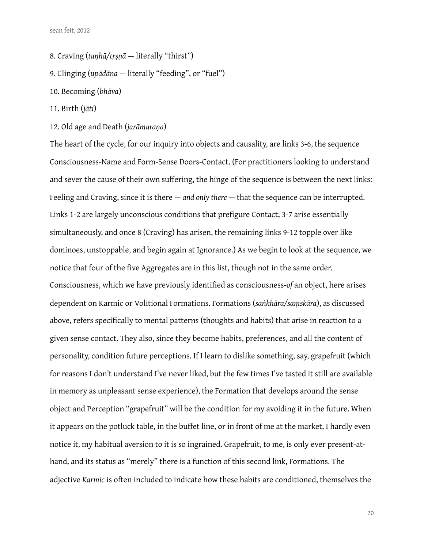- 8. Craving (*taṇhā/tṛṣṇā* literally "thirst")
- 9. Clinging (*upādāna*  literally "feeding", or "fuel")
- 10. Becoming (*bhāva*)
- 11. Birth (*jāti*)
- 12. Old age and Death (*jarāmaraṇa*)

The heart of the cycle, for our inquiry into objects and causality, are links 3-6, the sequence Consciousness-Name and Form-Sense Doors-Contact. (For practitioners looking to understand and sever the cause of their own suffering, the hinge of the sequence is between the next links: Feeling and Craving, since it is there — *and only there* — that the sequence can be interrupted. Links 1-2 are largely unconscious conditions that prefigure Contact, 3-7 arise essentially simultaneously, and once 8 (Craving) has arisen, the remaining links 9-12 topple over like dominoes, unstoppable, and begin again at Ignorance.) As we begin to look at the sequence, we notice that four of the five Aggregates are in this list, though not in the same order. Consciousness, which we have previously identified as consciousness-of an object, here arises dependent on Karmic or Volitional Formations. Formations (*saṅkhāra/saṃskāra*), as discussed above, refers specifically to mental patterns (thoughts and habits) that arise in reaction to a given sense contact. They also, since they become habits, preferences, and all the content of personality, condition future perceptions. If I learn to dislike something, say, grapefruit (which for reasons I don't understand I've never liked, but the few times I've tasted it still are available in memory as unpleasant sense experience), the Formation that develops around the sense object and Perception "grapefruit" will be the condition for my avoiding it in the future. When it appears on the potluck table, in the buffet line, or in front of me at the market, I hardly even notice it, my habitual aversion to it is so ingrained. Grapefruit, to me, is only ever present-athand, and its status as "merely" there is a function of this second link, Formations. The adjective *Karmic* is often included to indicate how these habits are conditioned, themselves the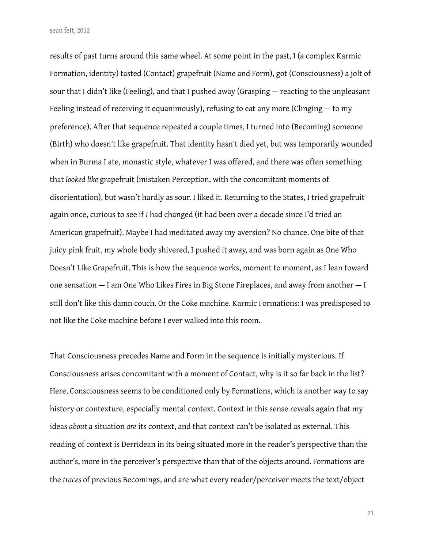results of past turns around this same wheel. At some point in the past, I (a complex Karmic Formation, identity) tasted (Contact) grapefruit (Name and Form), got (Consciousness) a jolt of sour that I didn't like (Feeling), and that I pushed away (Grasping — reacting to the unpleasant Feeling instead of receiving it equanimously), refusing to eat any more (Clinging — to my preference). After that sequence repeated a couple times, I turned into (Becoming) someone (Birth) who doesn't like grapefruit. That identity hasn't died yet, but was temporarily wounded when in Burma I ate, monastic style, whatever I was offered, and there was often something that *looked like* grapefruit (mistaken Perception, with the concomitant moments of disorientation), but wasn't hardly as sour. I liked it. Returning to the States, I tried grapefruit again once, curious to see if *I* had changed (it had been over a decade since I'd tried an American grapefruit). Maybe I had meditated away my aversion? No chance. One bite of that juicy pink fruit, my whole body shivered, I pushed it away, and was born again as One Who Doesn't Like Grapefruit. This is how the sequence works, moment to moment, as I lean toward one sensation — I am One Who Likes Fires in Big Stone Fireplaces, and away from another — I still don't like this damn couch. Or the Coke machine. Karmic Formations: I was predisposed to not like the Coke machine before I ever walked into this room.

That Consciousness precedes Name and Form in the sequence is initially mysterious. If Consciousness arises concomitant with a moment of Contact, why is it so far back in the list? Here, Consciousness seems to be conditioned only by Formations, which is another way to say history or contexture, especially mental context. Context in this sense reveals again that my ideas *about* a situation *are* its context, and that context can't be isolated as external. This reading of context is Derridean in its being situated more in the reader's perspective than the author's, more in the perceiver's perspective than that of the objects around. Formations are the *traces* of previous Becomings, and are what every reader/perceiver meets the text/object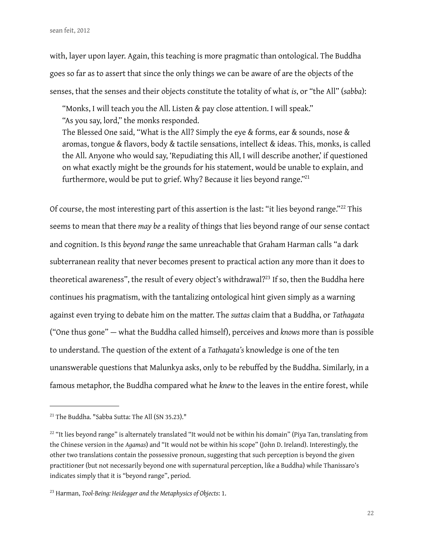with, layer upon layer. Again, this teaching is more pragmatic than ontological. The Buddha goes so far as to assert that since the only things we can be aware of are the objects of the senses, that the senses and their objects constitute the totality of what *is*, or "the All" (*sabba*):

"Monks, I will teach you the All. Listen & pay close attention. I will speak." "As you say, lord," the monks responded.

The Blessed One said, "What is the All? Simply the eye & forms, ear & sounds, nose & aromas, tongue & flavors, body & tactile sensations, intellect & ideas. This, monks, is called the All. Anyone who would say, 'Repudiating this All, I will describe another,' if questioned on what exactly might be the grounds for his statement, would be unable to explain, and furthermore, would be put to grief. Why? Because it lies beyond range."<sup>21</sup>

Of course, the most interesting part of this assertion is the last: "it lies beyond range."[22](#page-21-1) This seems to mean that there *may be* a reality of things that lies beyond range of our sense contact and cognition. Is this *beyond range* the same unreachable that Graham Harman calls "a dark subterranean reality that never becomes present to practical action any more than it does to theoretical awareness", the result of every object's withdrawal?<sup>23</sup> If so, then the Buddha here continues his pragmatism, with the tantalizing ontological hint given simply as a warning against even trying to debate him on the matter. The *suttas* claim that a Buddha, or *Tathagata* ("One thus gone" — what the Buddha called himself), perceives and *knows* more than is possible to understand. The question of the extent of a *Tathagata's* knowledge is one of the ten unanswerable questions that Malunkya asks, only to be rebuffed by the Buddha. Similarly, in a famous metaphor, the Buddha compared what he *knew* to the leaves in the entire forest, while

<span id="page-21-0"></span><sup>&</sup>lt;sup>21</sup> The Buddha. "Sabba Sutta: The All (SN 35.23)."

<span id="page-21-1"></span><sup>&</sup>lt;sup>22</sup> "It lies beyond range" is alternately translated "It would not be within his domain" (Piya Tan, translating from the Chinese version in the *Agamas*) and "It would not be within his scope" (John D. Ireland). Interestingly, the other two translations contain the possessive pronoun, suggesting that such perception is beyond the given practitioner (but not necessarily beyond one with supernatural perception, like a Buddha) while Thanissaro's indicates simply that it is "beyond range", period.

<span id="page-21-2"></span><sup>23</sup> Harman, *Tool-Being: Heidegger and the Metaphysics of Objects*: 1.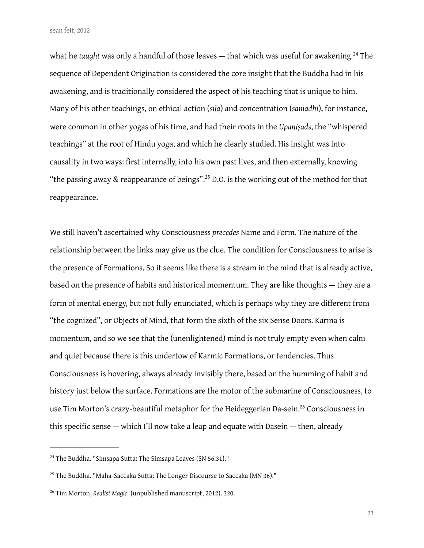what he *taught* was only a handful of those leaves — that which was useful for awakening.<sup>[24](#page-22-0)</sup> The sequence of Dependent Origination is considered the core insight that the Buddha had in his awakening, and is traditionally considered the aspect of his teaching that is unique to him. Many of his other teachings, on ethical action (*sila*) and concentration (*samadhi*), for instance, were common in other yogas of his time, and had their roots in the *Upaniṣads*, the "whispered teachings" at the root of Hindu yoga, and which he clearly studied. His insight was into causality in two ways: first internally, into his own past lives, and then externally, knowing "the passing away & reappearance of beings".<sup>[25](#page-22-1)</sup> D.O. is the working out of the method for that reappearance.

We still haven't ascertained why Consciousness *precedes* Name and Form. The nature of the relationship between the links may give us the clue. The condition for Consciousness to arise is the presence of Formations. So it seems like there is a stream in the mind that is already active, based on the presence of habits and historical momentum. They are like thoughts — they are a form of mental energy, but not fully enunciated, which is perhaps why they are different from "the cognized", or Objects of Mind, that form the sixth of the six Sense Doors. Karma is momentum, and so we see that the (unenlightened) mind is not truly empty even when calm and quiet because there is this undertow of Karmic Formations, or tendencies. Thus Consciousness is hovering, always already invisibly there, based on the humming of habit and history just below the surface. Formations are the motor of the submarine of Consciousness, to use Tim Morton's crazy-beautiful metaphor for the Heideggerian Da-sein.<sup>26</sup> Consciousness in this specific sense  $-$  which I'll now take a leap and equate with Dasein  $-$  then, already

<span id="page-22-0"></span><sup>&</sup>lt;sup>24</sup> The Buddha. "Simsapa Sutta: The Simsapa Leaves (SN 56.31)."

<span id="page-22-1"></span><sup>&</sup>lt;sup>25</sup> The Buddha. "Maha-Saccaka Sutta: The Longer Discourse to Saccaka (MN 36)."

<span id="page-22-2"></span><sup>26</sup> Tim Morton, *Realist Magic* (unpublished manuscript, 2012). 320.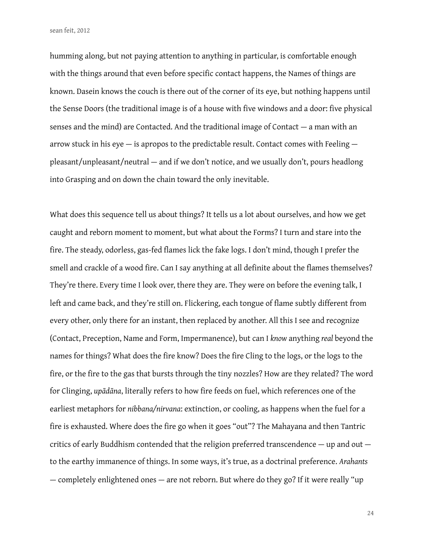humming along, but not paying attention to anything in particular, is comfortable enough with the things around that even before specific contact happens, the Names of things are known. Dasein knows the couch is there out of the corner of its eye, but nothing happens until the Sense Doors (the traditional image is of a house with five windows and a door: five physical senses and the mind) are Contacted. And the traditional image of Contact — a man with an arrow stuck in his eye — is apropos to the predictable result. Contact comes with Feeling pleasant/unpleasant/neutral — and if we don't notice, and we usually don't, pours headlong into Grasping and on down the chain toward the only inevitable.

What does this sequence tell us about things? It tells us a lot about ourselves, and how we get caught and reborn moment to moment, but what about the Forms? I turn and stare into the fire. The steady, odorless, gas-fed flames lick the fake logs. I don't mind, though I prefer the smell and crackle of a wood fire. Can I say anything at all definite about the flames themselves? They're there. Every time I look over, there they are. They were on before the evening talk, I left and came back, and they're still on. Flickering, each tongue of flame subtly different from every other, only there for an instant, then replaced by another. All this I see and recognize (Contact, Preception, Name and Form, Impermanence), but can I *know* anything *real* beyond the names for things? What does the fire know? Does the fire Cling to the logs, or the logs to the fire, or the fire to the gas that bursts through the tiny nozzles? How are they related? The word for Clinging, *up* $\bar{a}$ *dana*, literally refers to how fire feeds on fuel, which references one of the earliest metaphors for *nibbana/nirvana*: extinction, or cooling, as happens when the fuel for a fire is exhausted. Where does the fire go when it goes "out"? The Mahayana and then Tantric critics of early Buddhism contended that the religion preferred transcendence — up and out to the earthy immanence of things. In some ways, it's true, as a doctrinal preference. *Arahants* — completely enlightened ones — are not reborn. But where do they go? If it were really "up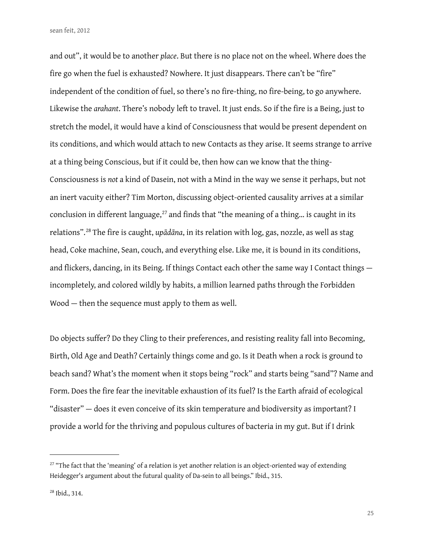and out", it would be to another *place*. But there is no place not on the wheel. Where does the fire go when the fuel is exhausted? Nowhere. It just disappears. There can't be "fire" independent of the condition of fuel, so there's no fire-thing, no fire-being, to go anywhere. Likewise the *arahant*. There's nobody left to travel. It just ends. So if the fire is a Being, just to stretch the model, it would have a kind of Consciousness that would be present dependent on its conditions, and which would attach to new Contacts as they arise. It seems strange to arrive at a thing being Conscious, but if it could be, then how can we know that the thing-Consciousness is *not* a kind of Dasein, not with a Mind in the way we sense it perhaps, but not an inert vacuity either? Tim Morton, discussing object-oriented causality arrives at a similar conclusion in different language, $^{27}$  $^{27}$  $^{27}$  and finds that "the meaning of a thing... is caught in its relations".<sup>[28](#page-24-1)</sup> The fire is caught, *up* $\bar{a}$ *d* $\bar{a}$ *na*, in its relation with log, gas, nozzle, as well as stag head, Coke machine, Sean, couch, and everything else. Like me, it is bound in its conditions, and flickers, dancing, in its Being. If things Contact each other the same way I Contact things incompletely, and colored wildly by habits, a million learned paths through the Forbidden Wood — then the sequence must apply to them as well.

Do objects suffer? Do they Cling to their preferences, and resisting reality fall into Becoming, Birth, Old Age and Death? Certainly things come and go. Is it Death when a rock is ground to beach sand? What's the moment when it stops being "rock" and starts being "sand"? Name and Form. Does the fire fear the inevitable exhaustion of its fuel? Is the Earth afraid of ecological "disaster" — does it even conceive of its skin temperature and biodiversity as important? I provide a world for the thriving and populous cultures of bacteria in my gut. But if I drink

<span id="page-24-0"></span> $27$  "The fact that the 'meaning' of a relation is yet another relation is an object-oriented way of extending Heidegger's argument about the futural quality of Da-sein to all beings." Ibid., 315.

<span id="page-24-1"></span><sup>28</sup> Ibid., 314.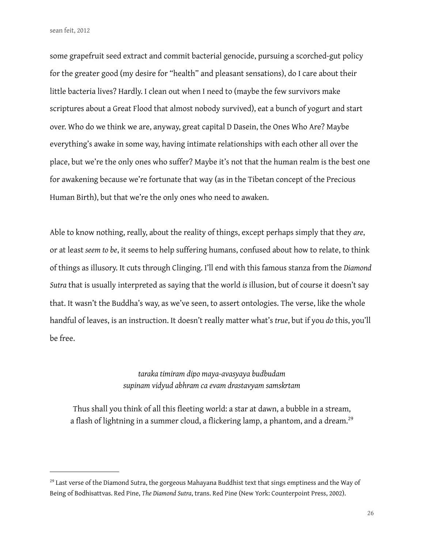some grapefruit seed extract and commit bacterial genocide, pursuing a scorched-gut policy for the greater good (my desire for "health" and pleasant sensations), do I care about their little bacteria lives? Hardly. I clean out when I need to (maybe the few survivors make scriptures about a Great Flood that almost nobody survived), eat a bunch of yogurt and start over. Who do we think we are, anyway, great capital D Dasein, the Ones Who Are? Maybe everything's awake in some way, having intimate relationships with each other all over the place, but we're the only ones who suffer? Maybe it's not that the human realm is the best one for awakening because we're fortunate that way (as in the Tibetan concept of the Precious Human Birth), but that we're the only ones who need to awaken.

Able to know nothing, really, about the reality of things, except perhaps simply that they *are*, or at least *seem to be*, it seems to help suffering humans, confused about how to relate, to think of things as illusory. It cuts through Clinging. I'll end with this famous stanza from the *Diamond Sutra* that is usually interpreted as saying that the world *is* illusion, but of course it doesn't say that. It wasn't the Buddha's way, as we've seen, to assert ontologies. The verse, like the whole handful of leaves, is an instruction. It doesn't really matter what's *true*, but if you *do* this, you'll be free.

# *taraka timiram dipo maya-avasyaya budbudam supinam vidyud abhram ca evam drastavyam samskrtam*

Thus shall you think of all this fleeting world: a star at dawn, a bubble in a stream, a flash of lightning in a summer cloud, a flickering lamp, a phantom, and a dream.<sup>[29](#page-25-0)</sup>

<span id="page-25-0"></span><sup>&</sup>lt;sup>29</sup> Last verse of the Diamond Sutra, the gorgeous Mahayana Buddhist text that sings emptiness and the Way of Being of Bodhisattvas. Red Pine, *The Diamond Sutra*, trans. Red Pine (New York: Counterpoint Press, 2002).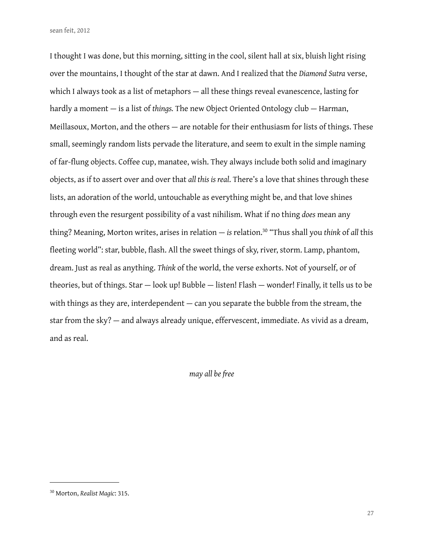I thought I was done, but this morning, sitting in the cool, silent hall at six, bluish light rising over the mountains, I thought of the star at dawn. And I realized that the *Diamond Sutra* verse, which I always took as a list of metaphors — all these things reveal evanescence, lasting for hardly a moment — is a list of *things.* The new Object Oriented Ontology club — Harman, Meillasoux, Morton, and the others — are notable for their enthusiasm for lists of things. These small, seemingly random lists pervade the literature, and seem to exult in the simple naming of far-flung objects. Coffee cup, manatee, wish. They always include both solid and imaginary objects, as if to assert over and over that *all this is real*. There's a love that shines through these lists, an adoration of the world, untouchable as everything might be, and that love shines through even the resurgent possibility of a vast nihilism. What if no thing *does* mean any thing? Meaning, Morton writes, arises in relation — *is* relation[.30](#page-26-0) "Thus shall you *think* of *all* this fleeting world": star, bubble, flash. All the sweet things of sky, river, storm. Lamp, phantom, dream. Just as real as anything. *Think* of the world, the verse exhorts. Not of yourself, or of theories, but of things. Star — look up! Bubble — listen! Flash — wonder! Finally, it tells us to be with things as they are, interdependent — can you separate the bubble from the stream, the star from the sky? — and always already unique, effervescent, immediate. As vivid as a dream, and as real.

*may all be free*

<span id="page-26-0"></span><sup>30</sup> Morton, *Realist Magic*: 315.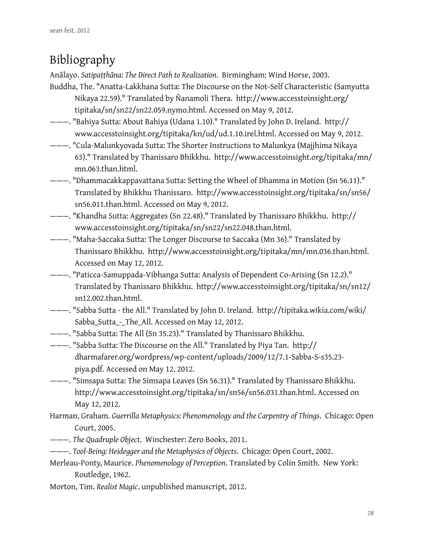# Bibliography

Anālayo. *Satipaṭṭhāna: The Direct Path to Realization*. Birmingham: Wind Horse, 2003.

- Buddha, The. "Anatta-Lakkhana Sutta: The Discourse on the Not-Self Characteristic (Samyutta Nikaya 22.59)." Translated by Ñanamoli Thera. http://www.accesstoinsight.org/ tipitaka/sn/sn22/sn22.059.nymo.html. Accessed on May 9, 2012.
- ———. "Bahiya Sutta: About Bahiya (Udana 1.10)." Translated by John D. Ireland. http:// www.accesstoinsight.org/tipitaka/kn/ud/ud.1.10.irel.html. Accessed on May 9, 2012.
- ———. "Cula-Malunkyovada Sutta: The Shorter Instructions to Malunkya (Majjhima Nikaya 63)." Translated by Thanissaro Bhikkhu. http://www.accesstoinsight.org/tipitaka/mn/ mn.063.than.html.
- ———. "Dhammacakkappavattana Sutta: Setting the Wheel of Dhamma in Motion (Sn 56.11)." Translated by Bhikkhu Thanissaro. http://www.accesstoinsight.org/tipitaka/sn/sn56/ sn56.011.than.html. Accessed on May 9, 2012.
- ———. "Khandha Sutta: Aggregates (Sn 22.48)." Translated by Thanissaro Bhikkhu. http:// www.accesstoinsight.org/tipitaka/sn/sn22/sn22.048.than.html.
- ———. "Maha-Saccaka Sutta: The Longer Discourse to Saccaka (Mn 36)." Translated by Thanissaro Bhikkhu. http://www.accesstoinsight.org/tipitaka/mn/mn.036.than.html. Accessed on May 12, 2012.
- ———. "Paticca-Samuppada-Vibhanga Sutta: Analysis of Dependent Co-Arising (Sn 12.2)." Translated by Thanissaro Bhikkhu. http://www.accesstoinsight.org/tipitaka/sn/sn12/ sn12.002.than.html.
- ———. "Sabba Sutta the All." Translated by John D. Ireland. http://tipitaka.wikia.com/wiki/ Sabba\_Sutta\_-\_The\_All. Accessed on May 12, 2012.
- ———. "Sabba Sutta: The All (Sn 35.23)." Translated by Thanissaro Bhikkhu.
- ———. "Sabba Sutta: The Discourse on the All." Translated by Piya Tan. http:// dharmafarer.org/wordpress/wp-content/uploads/2009/12/7.1-Sabba-S-s35.23 piya.pdf. Accessed on May 12, 2012.
- ———. "Simsapa Sutta: The Simsapa Leaves (Sn 56.31)." Translated by Thanissaro Bhikkhu. http://www.accesstoinsight.org/tipitaka/sn/sn56/sn56.031.than.html. Accessed on May 12, 2012.
- Harman, Graham. *Guerrilla Metaphysics: Phenomenology and the Carpentry of Things*. Chicago: Open Court, 2005.
- ———. *The Quadruple Object*. Winchester: Zero Books, 2011.
- ———. *Tool-Being: Heidegger and the Metaphysics of Objects*. Chicago: Open Court, 2002.
- Merleau-Ponty, Maurice. *Phenomenology of Perception*. Translated by Colin Smith. New York: Routledge, 1962.
- Morton, Tim. *Realist Magic*. unpublished manuscript, 2012.